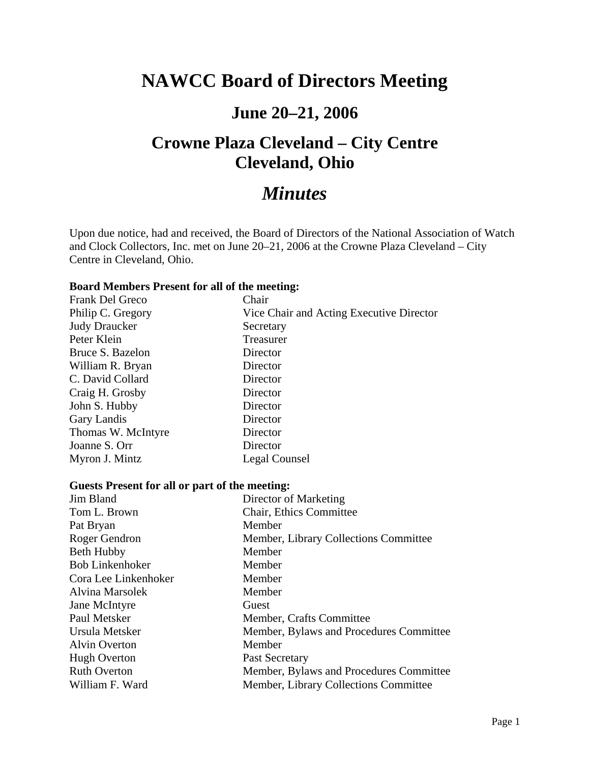# **NAWCC Board of Directors Meeting**

## **June 20–21, 2006**

# **Crowne Plaza Cleveland – City Centre Cleveland, Ohio**

# *Minutes*

Upon due notice, had and received, the Board of Directors of the National Association of Watch and Clock Collectors, Inc. met on June 20–21, 2006 at the Crowne Plaza Cleveland – City Centre in Cleveland, Ohio.

#### **Board Members Present for all of the meeting:**

| Frank Del Greco      | Chair                                    |
|----------------------|------------------------------------------|
| Philip C. Gregory    | Vice Chair and Acting Executive Director |
| <b>Judy Draucker</b> | Secretary                                |
| Peter Klein          | Treasurer                                |
| Bruce S. Bazelon     | Director                                 |
| William R. Bryan     | Director                                 |
| C. David Collard     | Director                                 |
| Craig H. Grosby      | Director                                 |
| John S. Hubby        | Director                                 |
| Gary Landis          | Director                                 |
| Thomas W. McIntyre   | Director                                 |
| Joanne S. Orr        | Director                                 |
| Myron J. Mintz       | Legal Counsel                            |

#### **Guests Present for all or part of the meeting:**

| Jim Bland              | Director of Marketing                   |
|------------------------|-----------------------------------------|
| Tom L. Brown           | Chair, Ethics Committee                 |
| Pat Bryan              | Member                                  |
| Roger Gendron          | Member, Library Collections Committee   |
| <b>Beth Hubby</b>      | Member                                  |
| <b>Bob Linkenhoker</b> | Member                                  |
| Cora Lee Linkenhoker   | Member                                  |
| Alvina Marsolek        | Member                                  |
| Jane McIntyre          | Guest                                   |
| Paul Metsker           | Member, Crafts Committee                |
| Ursula Metsker         | Member, Bylaws and Procedures Committee |
| <b>Alvin Overton</b>   | Member                                  |
| <b>Hugh Overton</b>    | Past Secretary                          |
| <b>Ruth Overton</b>    | Member, Bylaws and Procedures Committee |
| William F. Ward        | Member, Library Collections Committee   |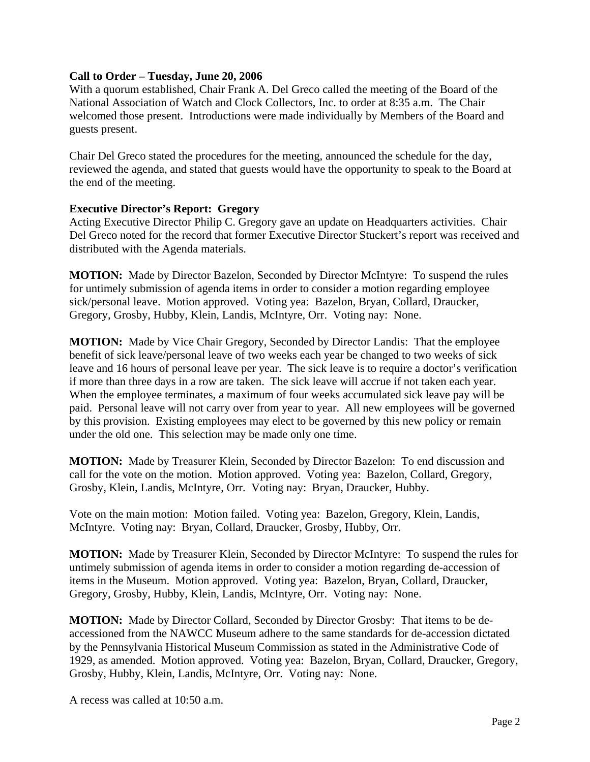### **Call to Order – Tuesday, June 20, 2006**

With a quorum established, Chair Frank A. Del Greco called the meeting of the Board of the National Association of Watch and Clock Collectors, Inc. to order at 8:35 a.m. The Chair welcomed those present. Introductions were made individually by Members of the Board and guests present.

Chair Del Greco stated the procedures for the meeting, announced the schedule for the day, reviewed the agenda, and stated that guests would have the opportunity to speak to the Board at the end of the meeting.

### **Executive Director's Report: Gregory**

Acting Executive Director Philip C. Gregory gave an update on Headquarters activities. Chair Del Greco noted for the record that former Executive Director Stuckert's report was received and distributed with the Agenda materials.

**MOTION:** Made by Director Bazelon, Seconded by Director McIntyre: To suspend the rules for untimely submission of agenda items in order to consider a motion regarding employee sick/personal leave. Motion approved. Voting yea: Bazelon, Bryan, Collard, Draucker, Gregory, Grosby, Hubby, Klein, Landis, McIntyre, Orr. Voting nay: None.

**MOTION:** Made by Vice Chair Gregory, Seconded by Director Landis: That the employee benefit of sick leave/personal leave of two weeks each year be changed to two weeks of sick leave and 16 hours of personal leave per year. The sick leave is to require a doctor's verification if more than three days in a row are taken. The sick leave will accrue if not taken each year. When the employee terminates, a maximum of four weeks accumulated sick leave pay will be paid. Personal leave will not carry over from year to year. All new employees will be governed by this provision. Existing employees may elect to be governed by this new policy or remain under the old one. This selection may be made only one time.

**MOTION:** Made by Treasurer Klein, Seconded by Director Bazelon: To end discussion and call for the vote on the motion. Motion approved. Voting yea: Bazelon, Collard, Gregory, Grosby, Klein, Landis, McIntyre, Orr. Voting nay: Bryan, Draucker, Hubby.

Vote on the main motion: Motion failed. Voting yea: Bazelon, Gregory, Klein, Landis, McIntyre. Voting nay: Bryan, Collard, Draucker, Grosby, Hubby, Orr.

**MOTION:** Made by Treasurer Klein, Seconded by Director McIntyre: To suspend the rules for untimely submission of agenda items in order to consider a motion regarding de-accession of items in the Museum. Motion approved. Voting yea: Bazelon, Bryan, Collard, Draucker, Gregory, Grosby, Hubby, Klein, Landis, McIntyre, Orr. Voting nay: None.

**MOTION:** Made by Director Collard, Seconded by Director Grosby: That items to be deaccessioned from the NAWCC Museum adhere to the same standards for de-accession dictated by the Pennsylvania Historical Museum Commission as stated in the Administrative Code of 1929, as amended. Motion approved. Voting yea: Bazelon, Bryan, Collard, Draucker, Gregory, Grosby, Hubby, Klein, Landis, McIntyre, Orr. Voting nay: None.

A recess was called at 10:50 a.m.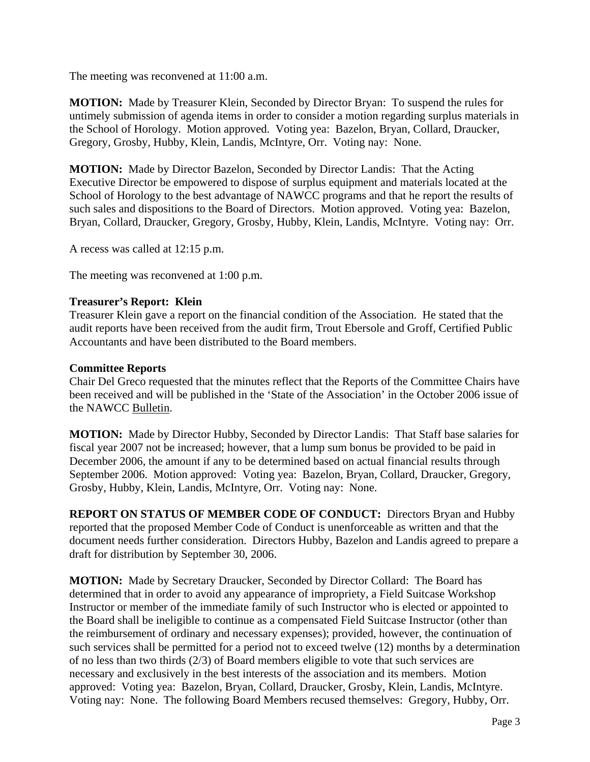The meeting was reconvened at 11:00 a.m.

**MOTION:** Made by Treasurer Klein, Seconded by Director Bryan: To suspend the rules for untimely submission of agenda items in order to consider a motion regarding surplus materials in the School of Horology. Motion approved. Voting yea: Bazelon, Bryan, Collard, Draucker, Gregory, Grosby, Hubby, Klein, Landis, McIntyre, Orr. Voting nay: None.

**MOTION:** Made by Director Bazelon, Seconded by Director Landis: That the Acting Executive Director be empowered to dispose of surplus equipment and materials located at the School of Horology to the best advantage of NAWCC programs and that he report the results of such sales and dispositions to the Board of Directors. Motion approved. Voting yea: Bazelon, Bryan, Collard, Draucker, Gregory, Grosby, Hubby, Klein, Landis, McIntyre. Voting nay: Orr.

A recess was called at 12:15 p.m.

The meeting was reconvened at 1:00 p.m.

### **Treasurer's Report: Klein**

Treasurer Klein gave a report on the financial condition of the Association. He stated that the audit reports have been received from the audit firm, Trout Ebersole and Groff, Certified Public Accountants and have been distributed to the Board members.

### **Committee Reports**

Chair Del Greco requested that the minutes reflect that the Reports of the Committee Chairs have been received and will be published in the 'State of the Association' in the October 2006 issue of the NAWCC Bulletin.

**MOTION:** Made by Director Hubby, Seconded by Director Landis: That Staff base salaries for fiscal year 2007 not be increased; however, that a lump sum bonus be provided to be paid in December 2006, the amount if any to be determined based on actual financial results through September 2006. Motion approved: Voting yea: Bazelon, Bryan, Collard, Draucker, Gregory, Grosby, Hubby, Klein, Landis, McIntyre, Orr. Voting nay: None.

**REPORT ON STATUS OF MEMBER CODE OF CONDUCT:** Directors Bryan and Hubby reported that the proposed Member Code of Conduct is unenforceable as written and that the document needs further consideration. Directors Hubby, Bazelon and Landis agreed to prepare a draft for distribution by September 30, 2006.

**MOTION:** Made by Secretary Draucker, Seconded by Director Collard: The Board has determined that in order to avoid any appearance of impropriety, a Field Suitcase Workshop Instructor or member of the immediate family of such Instructor who is elected or appointed to the Board shall be ineligible to continue as a compensated Field Suitcase Instructor (other than the reimbursement of ordinary and necessary expenses); provided, however, the continuation of such services shall be permitted for a period not to exceed twelve (12) months by a determination of no less than two thirds (2/3) of Board members eligible to vote that such services are necessary and exclusively in the best interests of the association and its members. Motion approved: Voting yea: Bazelon, Bryan, Collard, Draucker, Grosby, Klein, Landis, McIntyre. Voting nay: None. The following Board Members recused themselves: Gregory, Hubby, Orr.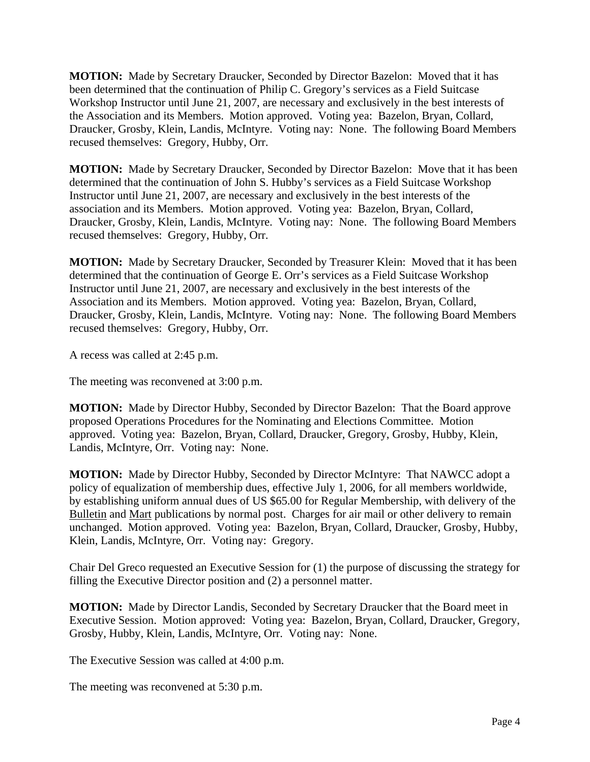**MOTION:** Made by Secretary Draucker, Seconded by Director Bazelon: Moved that it has been determined that the continuation of Philip C. Gregory's services as a Field Suitcase Workshop Instructor until June 21, 2007, are necessary and exclusively in the best interests of the Association and its Members. Motion approved. Voting yea: Bazelon, Bryan, Collard, Draucker, Grosby, Klein, Landis, McIntyre. Voting nay: None. The following Board Members recused themselves: Gregory, Hubby, Orr.

**MOTION:** Made by Secretary Draucker, Seconded by Director Bazelon: Move that it has been determined that the continuation of John S. Hubby's services as a Field Suitcase Workshop Instructor until June 21, 2007, are necessary and exclusively in the best interests of the association and its Members. Motion approved. Voting yea: Bazelon, Bryan, Collard, Draucker, Grosby, Klein, Landis, McIntyre. Voting nay: None. The following Board Members recused themselves: Gregory, Hubby, Orr.

**MOTION:** Made by Secretary Draucker, Seconded by Treasurer Klein: Moved that it has been determined that the continuation of George E. Orr's services as a Field Suitcase Workshop Instructor until June 21, 2007, are necessary and exclusively in the best interests of the Association and its Members. Motion approved. Voting yea: Bazelon, Bryan, Collard, Draucker, Grosby, Klein, Landis, McIntyre. Voting nay: None. The following Board Members recused themselves: Gregory, Hubby, Orr.

A recess was called at 2:45 p.m.

The meeting was reconvened at 3:00 p.m.

**MOTION:** Made by Director Hubby, Seconded by Director Bazelon: That the Board approve proposed Operations Procedures for the Nominating and Elections Committee. Motion approved. Voting yea: Bazelon, Bryan, Collard, Draucker, Gregory, Grosby, Hubby, Klein, Landis, McIntyre, Orr. Voting nay: None.

**MOTION:** Made by Director Hubby, Seconded by Director McIntyre: That NAWCC adopt a policy of equalization of membership dues, effective July 1, 2006, for all members worldwide, by establishing uniform annual dues of US \$65.00 for Regular Membership, with delivery of the Bulletin and Mart publications by normal post. Charges for air mail or other delivery to remain unchanged. Motion approved. Voting yea: Bazelon, Bryan, Collard, Draucker, Grosby, Hubby, Klein, Landis, McIntyre, Orr. Voting nay: Gregory.

Chair Del Greco requested an Executive Session for (1) the purpose of discussing the strategy for filling the Executive Director position and (2) a personnel matter.

**MOTION:** Made by Director Landis, Seconded by Secretary Draucker that the Board meet in Executive Session. Motion approved: Voting yea: Bazelon, Bryan, Collard, Draucker, Gregory, Grosby, Hubby, Klein, Landis, McIntyre, Orr. Voting nay: None.

The Executive Session was called at 4:00 p.m.

The meeting was reconvened at 5:30 p.m.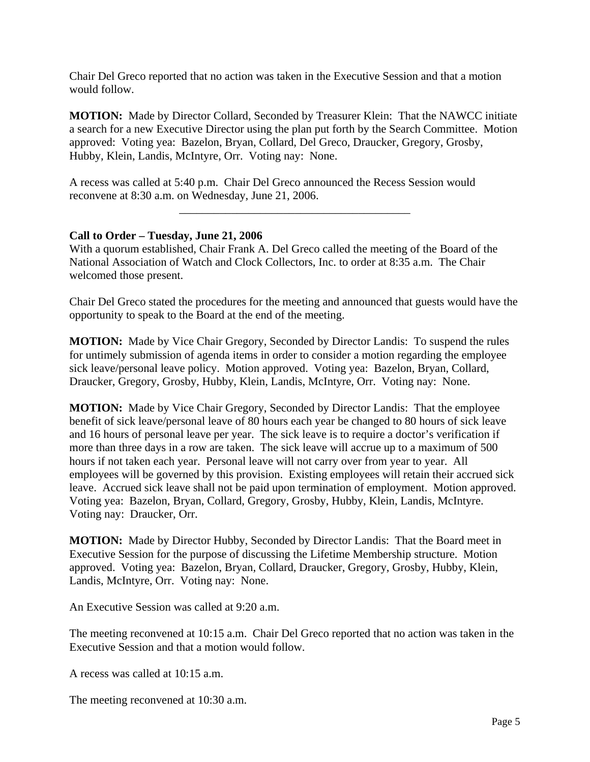Chair Del Greco reported that no action was taken in the Executive Session and that a motion would follow.

**MOTION:** Made by Director Collard, Seconded by Treasurer Klein: That the NAWCC initiate a search for a new Executive Director using the plan put forth by the Search Committee. Motion approved: Voting yea: Bazelon, Bryan, Collard, Del Greco, Draucker, Gregory, Grosby, Hubby, Klein, Landis, McIntyre, Orr. Voting nay: None.

\_\_\_\_\_\_\_\_\_\_\_\_\_\_\_\_\_\_\_\_\_\_\_\_\_\_\_\_\_\_\_\_\_\_\_\_\_\_\_\_

A recess was called at 5:40 p.m. Chair Del Greco announced the Recess Session would reconvene at 8:30 a.m. on Wednesday, June 21, 2006.

### **Call to Order – Tuesday, June 21, 2006**

With a quorum established, Chair Frank A. Del Greco called the meeting of the Board of the National Association of Watch and Clock Collectors, Inc. to order at 8:35 a.m. The Chair welcomed those present.

Chair Del Greco stated the procedures for the meeting and announced that guests would have the opportunity to speak to the Board at the end of the meeting.

**MOTION:** Made by Vice Chair Gregory, Seconded by Director Landis: To suspend the rules for untimely submission of agenda items in order to consider a motion regarding the employee sick leave/personal leave policy. Motion approved. Voting yea: Bazelon, Bryan, Collard, Draucker, Gregory, Grosby, Hubby, Klein, Landis, McIntyre, Orr. Voting nay: None.

**MOTION:** Made by Vice Chair Gregory, Seconded by Director Landis: That the employee benefit of sick leave/personal leave of 80 hours each year be changed to 80 hours of sick leave and 16 hours of personal leave per year. The sick leave is to require a doctor's verification if more than three days in a row are taken. The sick leave will accrue up to a maximum of 500 hours if not taken each year. Personal leave will not carry over from year to year. All employees will be governed by this provision. Existing employees will retain their accrued sick leave. Accrued sick leave shall not be paid upon termination of employment. Motion approved. Voting yea: Bazelon, Bryan, Collard, Gregory, Grosby, Hubby, Klein, Landis, McIntyre. Voting nay: Draucker, Orr.

**MOTION:** Made by Director Hubby, Seconded by Director Landis: That the Board meet in Executive Session for the purpose of discussing the Lifetime Membership structure. Motion approved. Voting yea: Bazelon, Bryan, Collard, Draucker, Gregory, Grosby, Hubby, Klein, Landis, McIntyre, Orr. Voting nay: None.

An Executive Session was called at 9:20 a.m.

The meeting reconvened at 10:15 a.m. Chair Del Greco reported that no action was taken in the Executive Session and that a motion would follow.

A recess was called at 10:15 a.m.

The meeting reconvened at 10:30 a.m.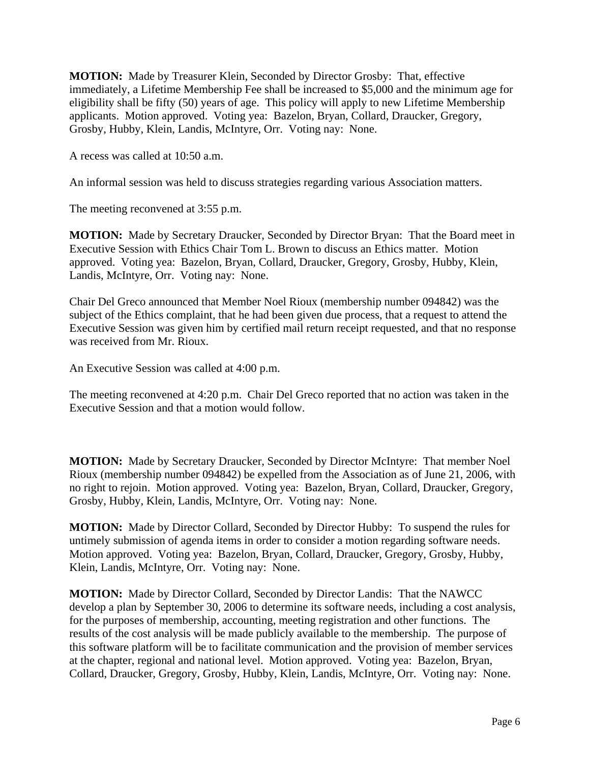**MOTION:** Made by Treasurer Klein, Seconded by Director Grosby: That, effective immediately, a Lifetime Membership Fee shall be increased to \$5,000 and the minimum age for eligibility shall be fifty (50) years of age. This policy will apply to new Lifetime Membership applicants. Motion approved. Voting yea: Bazelon, Bryan, Collard, Draucker, Gregory, Grosby, Hubby, Klein, Landis, McIntyre, Orr. Voting nay: None.

A recess was called at 10:50 a.m.

An informal session was held to discuss strategies regarding various Association matters.

The meeting reconvened at 3:55 p.m.

**MOTION:** Made by Secretary Draucker, Seconded by Director Bryan: That the Board meet in Executive Session with Ethics Chair Tom L. Brown to discuss an Ethics matter. Motion approved. Voting yea: Bazelon, Bryan, Collard, Draucker, Gregory, Grosby, Hubby, Klein, Landis, McIntyre, Orr. Voting nay: None.

Chair Del Greco announced that Member Noel Rioux (membership number 094842) was the subject of the Ethics complaint, that he had been given due process, that a request to attend the Executive Session was given him by certified mail return receipt requested, and that no response was received from Mr. Rioux.

An Executive Session was called at 4:00 p.m.

The meeting reconvened at 4:20 p.m. Chair Del Greco reported that no action was taken in the Executive Session and that a motion would follow.

**MOTION:** Made by Secretary Draucker, Seconded by Director McIntyre: That member Noel Rioux (membership number 094842) be expelled from the Association as of June 21, 2006, with no right to rejoin. Motion approved. Voting yea: Bazelon, Bryan, Collard, Draucker, Gregory, Grosby, Hubby, Klein, Landis, McIntyre, Orr. Voting nay: None.

**MOTION:** Made by Director Collard, Seconded by Director Hubby: To suspend the rules for untimely submission of agenda items in order to consider a motion regarding software needs. Motion approved. Voting yea: Bazelon, Bryan, Collard, Draucker, Gregory, Grosby, Hubby, Klein, Landis, McIntyre, Orr. Voting nay: None.

**MOTION:** Made by Director Collard, Seconded by Director Landis: That the NAWCC develop a plan by September 30, 2006 to determine its software needs, including a cost analysis, for the purposes of membership, accounting, meeting registration and other functions. The results of the cost analysis will be made publicly available to the membership. The purpose of this software platform will be to facilitate communication and the provision of member services at the chapter, regional and national level. Motion approved. Voting yea: Bazelon, Bryan, Collard, Draucker, Gregory, Grosby, Hubby, Klein, Landis, McIntyre, Orr. Voting nay: None.